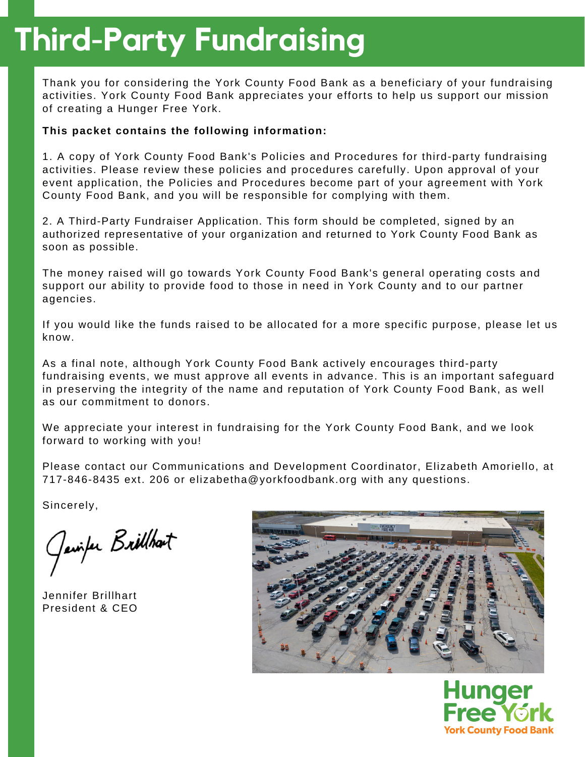# **Third-Party Fundraising**

Thank you for considering the York County Food Bank as a beneficiary of your fundraising activities. York County Food Bank appreciates your efforts to help us support our mission of creating a Hunger Free York.

### **This packet contains the following information:**

1. A copy of York County Food Bank's Policies and Procedures for third-party fundraising activities. Please review these policies and procedures carefully. Upon approval of your event application, the Policies and Procedures become part of your agreement with York County Food Bank, and you will be responsible for complying with them.

2. A Third-Party Fundraiser Application. This form should be completed, signed by an authorized representative of your organization and returned to York County Food Bank as soon as possible.

The money raised will go towards York County Food Bank's general operating costs and support our ability to provide food to those in need in York County and to our partner agencies.

If you would like the funds raised to be allocated for a more specific purpose, please let us know.

As a final note, although York County Food Bank actively encourages third-party fundraising events, we must approve all events in advance. This is an important safeguard in preserving the integrity of the name and reputation of York County Food Bank, as well as our commitment to donors.

We appreciate your interest in fundraising for the York County Food Bank, and we look forward to working with you!

Please contact our Communications and Development Coordinator, Elizabeth Amoriello, at 717-846-8435 ext. 206 or elizabetha@yorkfoodbank.org with any questions.

Sincerely,

Javiter Brithbart

Jennifer Brillhart President & CEO



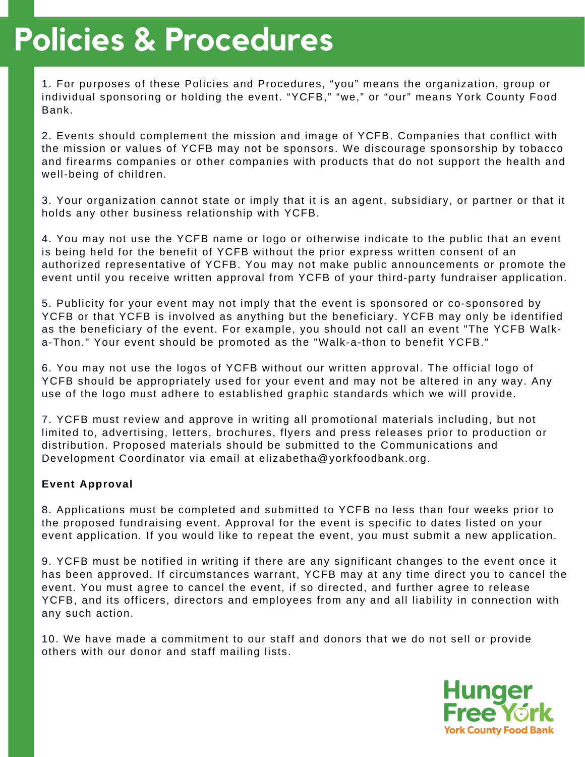# **Policies & Procedures**

1. For purposes of these Policies and Procedures, "you" means the organization, group or individual sponsoring or holding the event. "YCFB," "we," or "our" means York County Food Bank.

2. Events should complement the mission and image of YCFB. Companies that conflict with the mission or values of YCFB may not be sponsors. We discourage sponsorship by tobacco and firearms companies or other companies with products that do not support the health and well-being of children.

3. Your organization cannot state or imply that it is an agent, subsidiary, or partner or that it holds any other business relationship with YCFB.

4. You may not use the YCFB name or logo or otherwise indicate to the public that an event is being held for the benefit of YCFB without the prior express written consent of an authorized representative of YCFB. You may not make public announcements or promote the event until you receive written approval from YCFB of your third-party fundraiser application.

5. Publicity for your event may not imply that the event is sponsored or co-sponsored by YCFB or that YCFB is involved as anything but the beneficiary. YCFB may only be identified as the beneficiary of the event. For example, you should not call an event "The YCFB Walka-Thon." Your event should be promoted as the "Walk-a-thon to benefit YCFB."

6. You may not use the logos of YCFB without our written approval. The official logo of YCFB should be appropriately used for your event and may not be altered in any way. Any use of the logo must adhere to established graphic standards which we will provide.

7. YCFB must review and approve in writing all promotional materials including, but not limited to, advertising, letters, brochures, flyers and press releases prior to production or distribution. Proposed materials should be submitted to the Communications and Development Coordinator via email at elizabetha@yorkfoodbank.org.

### **Event Approval**

8. Applications must be completed and submitted to YCFB no less than four weeks prior to the proposed fundraising event. Approval for the event is specific to dates listed on your event application. If you would like to repeat the event, you must submit a new application.

9. YCFB must be notified in writing if there are any significant changes to the event once it has been approved. If circumstances warrant, YCFB may at any time direct you to cancel the event. You must agree to cancel the event, if so directed, and further agree to release YCFB, and its officers, directors and employees from any and all liability in connection with any such action.

10. We have made a commitment to our staff and donors that we do not sell or provide others with our donor and staff mailing lists.

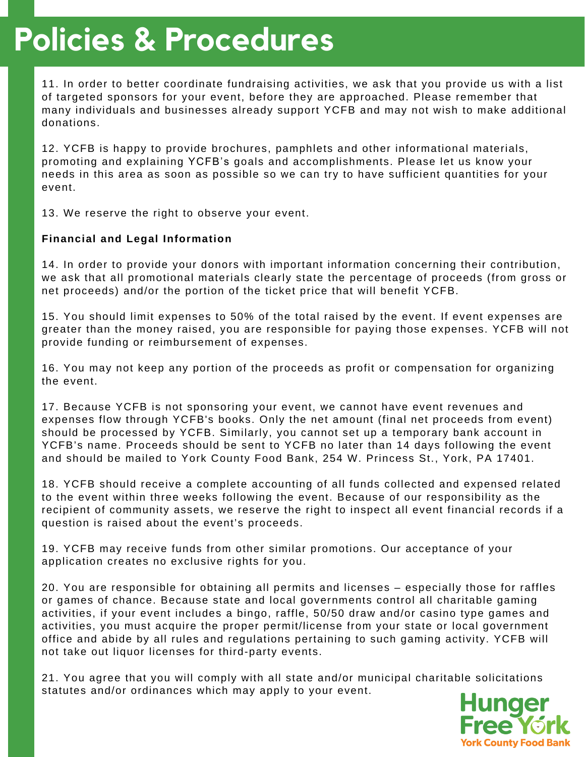## **Policies & Procedures**

11. In order to better coordinate fundraising activities, we ask that you provide us with a list of targeted sponsors for your event, before they are approached. Please remember that many individuals and businesses already support YCFB and may not wish to make additional donations.

12. YCFB is happy to provide brochures, pamphlets and other informational materials, promoting and explaining YCFB's goals and accomplishments. Please let us know your needs in this area as soon as possible so we can try to have sufficient quantities for your event.

13. We reserve the right to observe your event.

### **Financial and Legal Information**

14. In order to provide your donors with important information concerning their contribution, we ask that all promotional materials clearly state the percentage of proceeds (from gross or net proceeds) and/or the portion of the ticket price that will benefit YCFB.

15. You should limit expenses to 50% of the total raised by the event. If event expenses are greater than the money raised, you are responsible for paying those expenses. YCFB will not provide funding or reimbursement of expenses.

16. You may not keep any portion of the proceeds as profit or compensation for organizing the event.

17. Because YCFB is not sponsoring your event, we cannot have event revenues and expenses flow through YCFB's books. Only the net amount (final net proceeds from event) should be processed by YCFB. Similarly, you cannot set up a temporary bank account in YCFB's name. Proceeds should be sent to YCFB no later than 14 days following the event and should be mailed to York County Food Bank, 254 W. Princess St., York, PA 17401.

18. YCFB should receive a complete accounting of all funds collected and expensed related to the event within three weeks following the event. Because of our responsibility as the recipient of community assets, we reserve the right to inspect all event financial records if a question is raised about the event's proceeds.

19. YCFB may receive funds from other similar promotions. Our acceptance of your application creates no exclusive rights for you.

20. You are responsible for obtaining all permits and licenses – especially those for raffles or games of chance. Because state and local governments control all charitable gaming activities, if your event includes a bingo, raffle, 50/50 draw and/or casino type games and activities, you must acquire the proper permit/license from your state or local government office and abide by all rules and regulations pertaining to such gaming activity. YCFB will not take out liquor licenses for third-party events.

21. You agree that you will comply with all state and/or municipal charitable solicitations statutes and/or ordinances which may apply to your event.

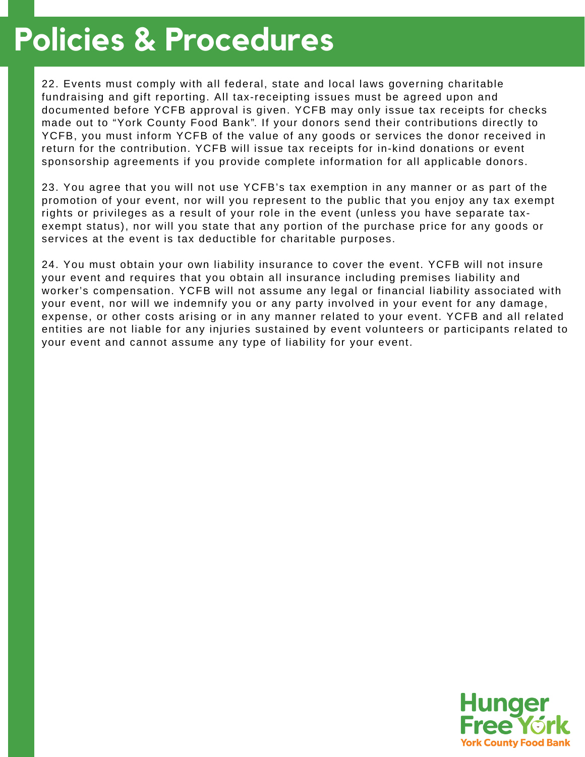### **Policies & Procedures**

22. Events must comply with all federal, state and local laws governing charitable fundraising and gift reporting. All tax-receipting issues must be agreed upon and documented before YCFB approval is given. YCFB may only issue tax receipts for checks made out to "York County Food Bank". If your donors send their contributions directly to YCFB, you must inform YCFB of the value of any goods or services the donor received in return for the contribution. YCFB will issue tax receipts for in-kind donations or event sponsorship agreements if you provide complete information for all applicable donors.

23. You agree that you will not use YCFB's tax exemption in any manner or as part of the promotion of your event, nor will you represent to the public that you enjoy any tax exempt rights or privileges as a result of your role in the event (unless you have separate taxexempt status), nor will you state that any portion of the purchase price for any goods or services at the event is tax deductible for charitable purposes.

24. You must obtain your own liability insurance to cover the event. YCFB will not insure your event and requires that you obtain all insurance including premises liability and worker's compensation. YCFB will not assume any legal or financial liability associated with your event, nor will we indemnify you or any party involved in your event for any damage, expense, or other costs arising or in any manner related to your event. YCFB and all related entities are not liable for any injuries sustained by event volunteers or participants related to your event and cannot assume any type of liability for your event.

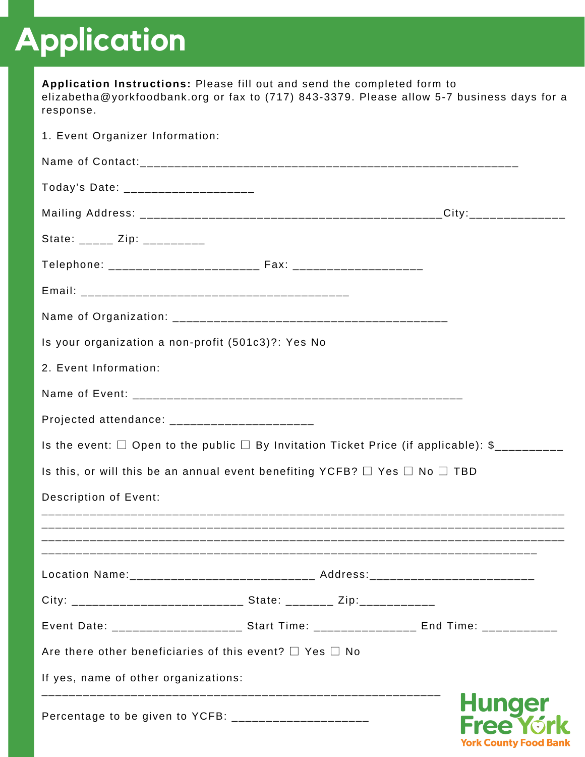# **Application**

| Application Instructions: Please fill out and send the completed form to<br>elizabetha@yorkfoodbank.org or fax to (717) 843-3379. Please allow 5-7 business days for a<br>response. |  |                                                    |
|-------------------------------------------------------------------------------------------------------------------------------------------------------------------------------------|--|----------------------------------------------------|
| 1. Event Organizer Information:                                                                                                                                                     |  |                                                    |
|                                                                                                                                                                                     |  |                                                    |
| Today's Date: _____________________                                                                                                                                                 |  |                                                    |
|                                                                                                                                                                                     |  |                                                    |
| State: _____ Zip: __________                                                                                                                                                        |  |                                                    |
|                                                                                                                                                                                     |  |                                                    |
|                                                                                                                                                                                     |  |                                                    |
|                                                                                                                                                                                     |  |                                                    |
| Is your organization a non-profit (501c3)?: Yes No                                                                                                                                  |  |                                                    |
| 2. Event Information:                                                                                                                                                               |  |                                                    |
|                                                                                                                                                                                     |  |                                                    |
| Projected attendance: ________________________                                                                                                                                      |  |                                                    |
| Is the event: $\Box$ Open to the public $\Box$ By Invitation Ticket Price (if applicable): \$_________                                                                              |  |                                                    |
| Is this, or will this be an annual event benefiting YCFB? $\Box$ Yes $\Box$ No $\Box$ TBD                                                                                           |  |                                                    |
| <b>Description of Event:</b>                                                                                                                                                        |  |                                                    |
|                                                                                                                                                                                     |  |                                                    |
| Location Name: _____________________________ Address: __________________________                                                                                                    |  |                                                    |
| City: ___________________________________ State: __________ Zip:________________                                                                                                    |  |                                                    |
| Event Date: ______________________ Start Time: _________________ End Time: ____________                                                                                             |  |                                                    |
| Are there other beneficiaries of this event? $\square$ Yes $\square$ No                                                                                                             |  |                                                    |
| If yes, name of other organizations:                                                                                                                                                |  |                                                    |
| Percentage to be given to YCFB: _______________________                                                                                                                             |  | <b>Hunger</b><br><b>Free</b><br>York County Food B |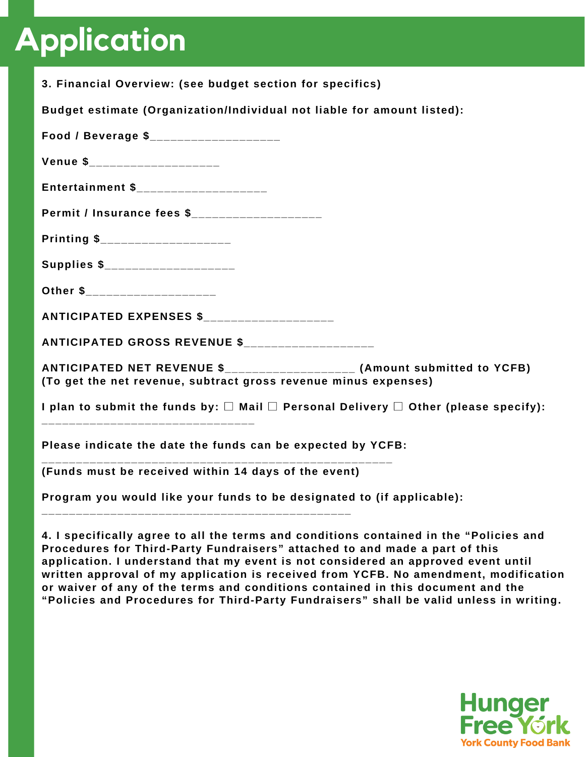# **Application**

| 3. Financial Overview: (see budget section for specifics)                                                                                     |
|-----------------------------------------------------------------------------------------------------------------------------------------------|
| Budget estimate (Organization/Individual not liable for amount listed):                                                                       |
| Food / Beverage \$_____________________                                                                                                       |
| Venue \$______________________                                                                                                                |
| Entertainment \$_____________________                                                                                                         |
| Permit / Insurance fees \$___________________                                                                                                 |
| Printing \$______________________                                                                                                             |
| Supplies \$_____________________                                                                                                              |
| Other \$______________________                                                                                                                |
| ANTICIPATED EXPENSES \$_____________________                                                                                                  |
|                                                                                                                                               |
| ANTICIPATED NET REVENUE \$_____________________ (Amount submitted to YCFB)<br>(To get the net revenue, subtract gross revenue minus expenses) |
| I plan to submit the funds by: $\square$ Mail $\square$ Personal Delivery $\square$ Other (please specify):                                   |
| Please indicate the date the funds can be expected by YCFB:                                                                                   |
| (Funds must be received within 14 days of the event)                                                                                          |
| Program you would like your funds to be designated to (if applicable):                                                                        |
| 4. I specifically agree to all the terms and conditions contained in the "Policies and                                                        |

**Procedures for Third-Party Fundraisers" attached to and made a part of this application. I understand that my event is not considered an approved event until written approval of my application is received from YCFB. No amendment, modification or waiver of any of the terms and conditions contained in this document and the "Policies and Procedures for Third-Party Fundraisers" shall be valid unless in writing.**

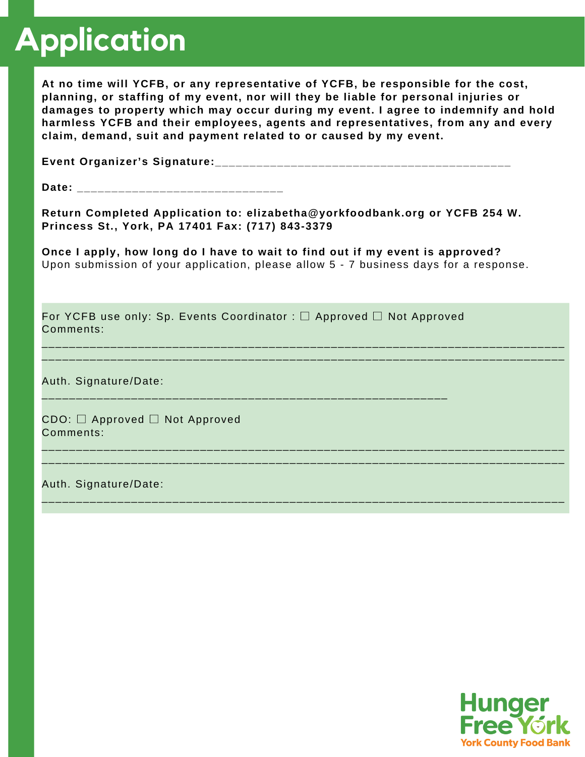# **Application**

**At no time will YCFB, or any representative of YCFB, be responsible for the cost, planning, or staffing of my event, nor will they be liable for personal injuries or damages to property which may occur during my event. I agree to indemnify and hold harmless YCFB and their employees, agents and representatives, from any and every claim, demand, suit and payment related to or caused by my event.**

**Event Organizer's Signature:\_\_\_\_\_\_\_\_\_\_\_\_\_\_\_\_\_\_\_\_\_\_\_\_\_\_\_\_\_\_\_\_\_\_\_\_\_\_\_\_\_\_\_**

**Date: \_\_\_\_\_\_\_\_\_\_\_\_\_\_\_\_\_\_\_\_\_\_\_\_\_\_\_\_\_\_**

**Return Completed Application to: elizabetha@yorkfoodbank.org or YCFB 254 W. Princess St., York, PA 17401 Fax: (717) 843-3379**

**Once I apply, how long do I have to wait to find out if my event is approved?** Upon submission of your application, please allow 5 - 7 business days for a response.

\_\_\_\_\_\_\_\_\_\_\_\_\_\_\_\_\_\_\_\_\_\_\_\_\_\_\_\_\_\_\_\_\_\_\_\_\_\_\_\_\_\_\_\_\_\_\_\_\_\_\_\_\_\_\_\_\_\_\_\_\_\_\_\_\_\_\_\_\_\_\_\_\_\_\_\_ \_\_\_\_\_\_\_\_\_\_\_\_\_\_\_\_\_\_\_\_\_\_\_\_\_\_\_\_\_\_\_\_\_\_\_\_\_\_\_\_\_\_\_\_\_\_\_\_\_\_\_\_\_\_\_\_\_\_\_\_\_\_\_\_\_\_\_\_\_\_\_\_\_\_\_\_

\_\_\_\_\_\_\_\_\_\_\_\_\_\_\_\_\_\_\_\_\_\_\_\_\_\_\_\_\_\_\_\_\_\_\_\_\_\_\_\_\_\_\_\_\_\_\_\_\_\_\_\_\_\_\_\_\_\_\_\_\_\_\_\_\_\_\_\_\_\_\_\_\_\_\_\_ \_\_\_\_\_\_\_\_\_\_\_\_\_\_\_\_\_\_\_\_\_\_\_\_\_\_\_\_\_\_\_\_\_\_\_\_\_\_\_\_\_\_\_\_\_\_\_\_\_\_\_\_\_\_\_\_\_\_\_\_\_\_\_\_\_\_\_\_\_\_\_\_\_\_\_\_

\_\_\_\_\_\_\_\_\_\_\_\_\_\_\_\_\_\_\_\_\_\_\_\_\_\_\_\_\_\_\_\_\_\_\_\_\_\_\_\_\_\_\_\_\_\_\_\_\_\_\_\_\_\_\_\_\_\_\_\_\_\_\_\_\_\_\_\_\_\_\_\_\_\_\_\_

For YCFB use only: Sp. Events Coordinator : □ Approved □ Not Approved Comments:

\_\_\_\_\_\_\_\_\_\_\_\_\_\_\_\_\_\_\_\_\_\_\_\_\_\_\_\_\_\_\_\_\_\_\_\_\_\_\_\_\_\_\_\_\_\_\_\_\_\_\_\_\_\_\_\_\_\_\_

Auth. Signature/Date:

CDO: □ Approved □ Not Approved Comments:

Auth. Signature/Date:

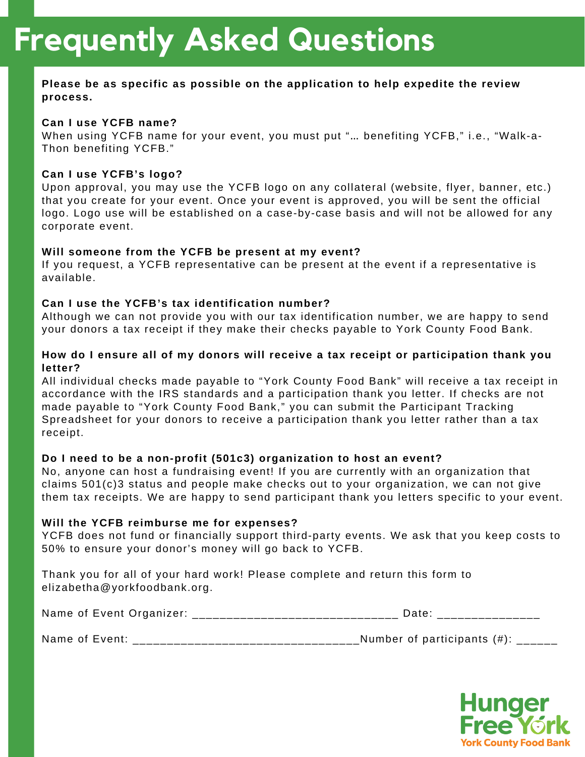### **Please be as specific as possible on the application to help expedite the review process.**

#### **Can I use YCFB name?**

When using YCFB name for your event, you must put "… benefiting YCFB," i.e., "Walk-a-Thon benefiting YCFB."

#### **Can I use YCFB's logo?**

Upon approval, you may use the YCFB logo on any collateral (website, flyer, banner, etc.) that you create for your event. Once your event is approved, you will be sent the official logo. Logo use will be established on a case-by-case basis and will not be allowed for any corporate event.

#### **Will someone from the YCFB be present at my event?**

If you request, a YCFB representative can be present at the event if a representative is available.

#### **Can I use the YCFB's tax identification number?**

Although we can not provide you with our tax identification number, we are happy to send your donors a tax receipt if they make their checks payable to York County Food Bank.

### **How do I ensure all of my donors will receive a tax receipt or participation thank you letter?**

All individual checks made payable to "York County Food Bank" will receive a tax receipt in accordance with the IRS standards and a participation thank you letter. If checks are not made payable to "York County Food Bank," you can submit the Participant Tracking Spreadsheet for your donors to receive a participation thank you letter rather than a tax receipt.

#### **Do I need to be a non-profit (501c3) organization to host an event?**

No, anyone can host a fundraising event! If you are currently with an organization that claims 501(c)3 status and people make checks out to your organization, we can not give them tax receipts. We are happy to send participant thank you letters specific to your event.

#### **Will the YCFB reimburse me for expenses?**

YCFB does not fund or financially support third-party events. We ask that you keep costs to 50% to ensure your donor's money will go back to YCFB.

Thank you for all of your hard work! Please complete and return this form to elizabetha@yorkfoodbank.org.

| Nam<br>∠vent ′<br>1701<br>OT.<br>Ordani<br>1117 e. |                                   | .               |
|----------------------------------------------------|-----------------------------------|-----------------|
|                                                    | _________________________<br>____ | _______________ |

Name of Event: \_\_\_\_\_\_\_\_\_\_\_\_\_\_\_\_\_\_\_\_\_\_\_\_\_\_\_\_\_\_\_\_\_Number of participants (#): \_\_\_\_\_\_